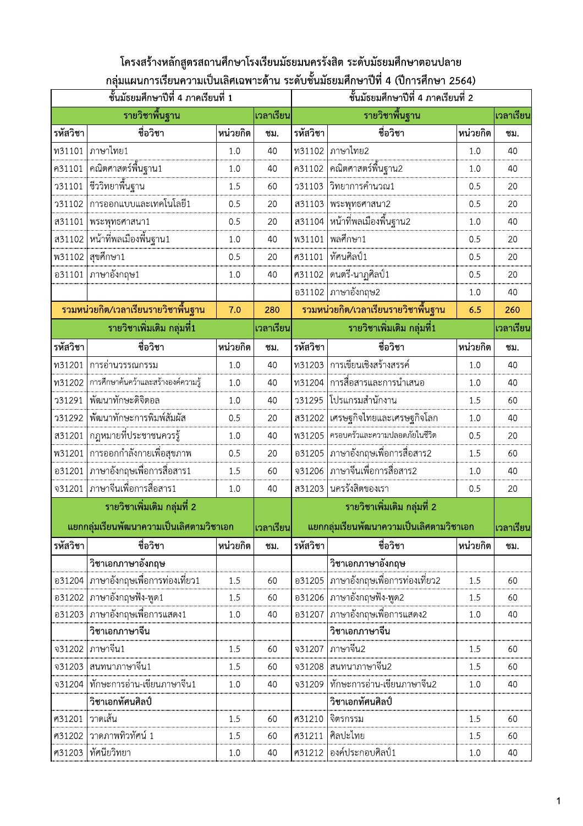|               | ชั้นมัธยมศึกษาปีที่ 4 ภาคเรียนที่ 1      |          |           |               | บยุ้งหนดนับ เจะจุดหนัง เพริกหรับเห็น เจ็ม เหิงจัดกิจหลักดีหนักเลิกดนั้น (บัน เจ็มแล้ว 2004)<br>ชั้นมัธยมศึกษาปีที่ 4 ภาคเรียนที่ 2 |          |                          |
|---------------|------------------------------------------|----------|-----------|---------------|------------------------------------------------------------------------------------------------------------------------------------|----------|--------------------------|
|               | รายวิชาพื้นฐาน                           |          | เวลาเรียน |               | รายวิชาพื้นฐาน                                                                                                                     |          | ี่เวลาเรียน              |
| รหัสวิชา      | ชื่อวิชา                                 | หน่วยกิต | ชม.       | รหัสวิชา      | ชื่อวิชา                                                                                                                           | หน่วยกิต | ชม.                      |
| ท31101        | ภาษาไทย1                                 | 1.0      | 40        |               | ท31102 ภาษาไทย2                                                                                                                    | 1.0      | 40                       |
| ค31101        |                                          | 1.0      | 40        | ค31102        | คณิตศาสตร์พื้นฐาน2                                                                                                                 | 1.0      | 40                       |
| <b>31101</b>  | ชีววิทยาพื้นฐาน                          | 1.5      | 60        | 731103        | วิทยาการคำนวณ1                                                                                                                     | 0.5      | 20                       |
| 331102        | การออกแบบและเทคโนโลยี1                   | 0.5      | 20        | ส31103        | พระพุทธศาสนา2                                                                                                                      | 0.5      | 20                       |
| ส31101        | พระพุทธศาสนา1                            | 0.5      | 20        | ส31104        | ______________________________<br>หน้าที่พลเมืองพื้นฐาน2                                                                           | 1.0      | 40                       |
| ส31102        |                                          | 1.0      | 40        | <b>W31101</b> | พลศึกษา1                                                                                                                           | 0.5      | 20                       |
| <b>W31102</b> | ่ สุขศึกษา1                              | 0.5      | 20        | ศ31101        | ทัศนศิลป์1                                                                                                                         | 0.5      | 20                       |
| อ31101        | ภาษาอังกฤษ1                              | 1.0      | 40        | ศ31102        | ดนตรี-นาฏศิลป์1                                                                                                                    | 0.5      | 20                       |
|               |                                          |          |           |               | อ31102 ภาษาอังกฤษ2                                                                                                                 | 1.0      | 40                       |
|               | รวมหน่วยกิต/เวลาเรียนรายวิชาพื้นฐาน      | 7.0      | 280       |               | ้ รวมหน่วยกิต/เวลาเรียนรายวิชาพื้นฐาน                                                                                              | 6.5      | 260                      |
|               | รายวิชาเพิ่มเติม กลุ่มที่1               |          | เวลาเรียน |               | รายวิชาเพิ่มเติม กลุ่มที่1                                                                                                         |          | เวลาเรียน                |
| รหัสวิชา      | ชื่อวิชา                                 | หน่วยกิต | ชม.       | รหัสวิชา      | ชื่อวิชา                                                                                                                           | หน่วยกิต | ชม.                      |
| ท31201        | การอ่านวรรณกรรม                          | 1.0      | 40        | ท31203        | การเขียนเชิงสร้างสรรค์                                                                                                             | 1.0      | 40                       |
| ท31202        |                                          | 1.0      | 40        | ท31204        | ้การสื่อสารและการนำเสนอ                                                                                                            | 1.0      | 40                       |
| 131291        |                                          | 1.0      | 40        | <b>331295</b> | โปรแกรมสำนักงาน                                                                                                                    | 1.5      | 60                       |
| 131292        | พัฒนาทักษะการพิมพ์สัมผัส                 | 0.5      | 20        |               |                                                                                                                                    | 1.0      | 40                       |
| ส31201        |                                          | 1.0      | 40        | <b>W31205</b> | ครอบครัวและความปลอดภัยในชีวิต                                                                                                      | 0.5      | 20                       |
| <b>W31201</b> | การออกกำลังกายเพื่อสุขภาพ                | 0.5      | 20        |               | ้อ31205   ภาษาอังกฤษเพื่อการสื่อสาร2                                                                                               | 1.5      | 60                       |
| อ31201        | <br> ภาษาอังกฤษเพื่อการสื่อสาร1          | 1.5      | 60        |               | ้จ31206  ภาษาจีนเพื่อการสื่อสาร2                                                                                                   | 1.0      | 40                       |
| จ31201        | ภาษาจีนเพื่อการสื่อสาร1                  | 1.0      | 40        |               | ส31203 นครรังสิตของเรา                                                                                                             | 0.5      | 20                       |
|               | รายวิชาเพิ่มเติม กลุ่มที่ 2              |          |           |               | รายวิชาเพิ่มเติม กลุ่มที่ 2                                                                                                        |          |                          |
|               | แยกกลุ่มเรียนพัฒนาความเป็นเลิศตามวิชาเอก |          | เวลาเรียน |               | แยกกลุ่มเรียนพัฒนาความเป็นเลิศตามวิชาเอก                                                                                           |          | ่ <mark>เวลาเรียน</mark> |
| รหัสวิชา      | ชื่อวิชา                                 | หน่วยกิต | ชม.       | รหัสวิชา      | ชื่อวิชา                                                                                                                           | หน่วยกิต | ชม.                      |
|               | วิชาเอกภาษาอังกฤษ                        |          |           |               | วิชาเอกภาษาอังกฤษ                                                                                                                  |          |                          |
| อ31204        | ่ ภาษาอังกฤษเพื่อการท่องเที่ยว1          | 1.5      | 60        | 031205        | ภาษาอังกฤษเพื่อการท่องเที่ยว2                                                                                                      | 1.5      | 60                       |
| อ31202        | ภาษาอังกฤษฟัง-พูด1                       | 1.5      | 60        | 031206        | ภาษาอังกฤษฟัง-พูด2                                                                                                                 | 1.5      | 60                       |
| อ31203        | ่ ภาษาอังกฤษเพื่อการแสดง1                | $1.0$    | 40        | อ31207        | ภาษาอังกฤษเพื่อการแสดง2                                                                                                            | $1.0\,$  | 40                       |
|               | วิชาเอกภาษาจีน                           |          |           |               | วิชาเอกภาษาจีน                                                                                                                     |          |                          |
| จ31202        | ภาษาจีน1                                 | 1.5      | 60        | จ31207        | ภาษาจีน2                                                                                                                           | 1.5      | 60                       |
| จ31203        | สนทนาภาษาจีน1                            | 1.5      | 60        | จ31208        | สนทนาภาษาจีน2                                                                                                                      | 1.5      | 60                       |
| จ31204        | ทักษะการอ่าน-เขียนภาษาจีน1               | 1.0      | 40        | จ31209        | ทักษะการอ่าน-เขียนภาษาจีน2                                                                                                         | 1.0      | 40                       |
|               | วิชาเอกทัศนศิลป์                         |          |           |               | วิชาเอกทัศนศิลป์                                                                                                                   |          |                          |
| ศ31201        | วาดเส้น                                  | 1.5      | 60        | ศ31210        | จิตรกรรม                                                                                                                           | 1.5      | 60                       |
| ศ31202        | วาดภาพทิวทัศน์ 1                         | 1.5      | 60        | ศ31211        | ศิลปะไทย                                                                                                                           | 1.5      | 60                       |
| ศ31203        | ทัศนียวิทยา                              | $1.0\,$  | 40        | <b>ศ31212</b> | องค์ประกอบศิลป์1                                                                                                                   | 1.0      | 40                       |

#### โครงสร้างหลักสูตรสถานศึกษาโรงเรียนมัธยมนครรังสิต ระดับมัธยมศึกษาตอนปลาย ิ<br>กล่มแผนการเรียนความเป็นเลิศเฉพาะด้าน ระดับชั้นมัธยมศึกษาปีที่ 4 (ปีการศึกษา 2564)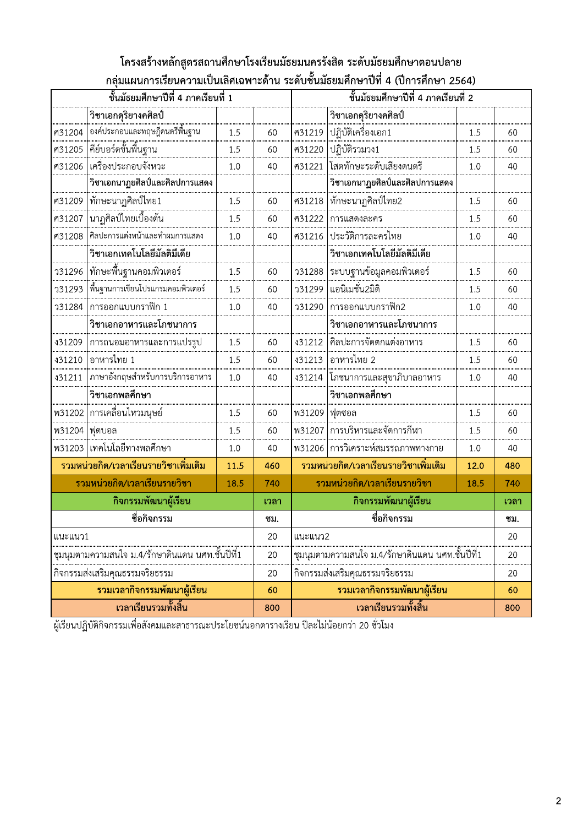|               | ์ชั้นมัธยมศึกษาปีที่ 4 ภาคเรียนที่ 1             | ชั้นมัธยมศึกษาปีที่ 4 ภาคเรียนที่ 2 |      |                |                                                  |      |      |
|---------------|--------------------------------------------------|-------------------------------------|------|----------------|--------------------------------------------------|------|------|
|               | วิชาเอกดุริยางคศิลป์                             |                                     |      |                | วิชาเอกดุริยางคศิลป์                             |      |      |
| ศ31204        | องค์ประกอบและทฤษฎีดนตรีพื้นฐาน                   | 1.5                                 | 60   | ศ31219         | ปฏิบัติเครื่องเอก1                               | 1.5  | 60   |
| ศ31205        | คีย์บอร์ดขั้นพื้นฐาน                             | 1.5                                 | 60   | ศ31220         | ปฏิบัติรวมวง1                                    | 1.5  | 60   |
| ศ31206        | เครื่องประกอบจังหวะ                              | 1.0                                 | 40   | ศ31221         | โสตทักษะระดับเสียงดนตรี                          | 1.0  | 40   |
|               | วิชาเอกนาฏยศิลป์และศิลปการแสดง                   |                                     |      |                | วิชาเอกนาฏยศิลป์และศิลปการแสดง                   |      |      |
| ศ31209        | ทักษะนาฏศิลป์ไทย1                                | 1.5                                 | 60   | ศ31218         | ทักษะนาฏศิลป์ไทย2                                | 1.5  | 60   |
| ศ31207        | นาฏศิลป์ไทยเบื้องต้น                             | 1.5                                 | 60   | ศ31222         | การแสดงละคร                                      | 1.5  | 60   |
| ศ31208        | ศิลปะการแต่งหน้าและทำผมการแสดง                   | 1.0                                 | 40   | ศ31216         | ประวัติการละครไทย                                | 1.0  | 40   |
|               | วิชาเอกเทคโนโลยีมัลติมีเดีย                      |                                     |      |                | วิชาเอกเทคโนโลยีมัลติมีเดีย                      |      |      |
| 731296        | ทักษะพื้นฐานคอมพิวเตอร์                          | 1.5                                 | 60   | 731288         | ระบบฐานข้อมูลคอมพิวเตอร์                         | 1.5  | 60   |
| 731293        | พื้นฐานการเขียนโปรแกรมคอมพิวเตอร์                | 1.5                                 | 60   | 731299         | แอนิเมชั่น2มิติ                                  | 1.5  | 60   |
| 731284        | การออกแบบกราฟิก 1                                | 1.0                                 | 40   | 731290         | การออกแบบกราฟิก2                                 | 1.0  | 40   |
|               | วิชาเอกอาหารและโภชนาการ                          |                                     |      |                | วิชาเอกอาหารและโภชนาการ                          |      |      |
| \$31209       | การถนอมอาหารและการแปรรูป                         | 1.5                                 | 60   | \$31212        | ศิลปะการจัดตกแต่งอาหาร                           | 1.5  | 60   |
| \$31210       | อาหารไทย 1                                       | 1.5                                 | 60   | \$31213        | อาหารไทย 2                                       | 1.5  | 60   |
| \$31211       | ภาษาอังกฤษสำหรับการบริการอาหาร                   | 1.0                                 | 40   | \$31214        | โภชนาการและสุขาภิบาลอาหาร                        | 1.0  | 40   |
|               | วิชาเอกพลศึกษา                                   |                                     |      |                | วิชาเอกพลศึกษา                                   |      |      |
| <b>W31202</b> | การเคลื่อนไหวมนุษย์                              | 1.5                                 | 60   | พ31209  พุตซอล |                                                  | 1.5  | 60   |
| <b>W31204</b> | ฟุตบอล                                           | 1.5                                 | 60   | <b>W31207</b>  | การบริหารและจัดการกีฬา                           | 1.5  | 60   |
| <b>W31203</b> | เทคโนโลยีทางพลศึกษา                              | 1.0                                 | 40   |                | พ31206 การวิเคราะห์สมรรถภาพทางกาย                | 1.0  | 40   |
|               | รวมหน่วยกิต/เวลาเรียนรายวิชาเพิ่มเติม            | 11.5                                | 460  |                | รวมหน่วยกิต/เวลาเรียนรายวิชาเพิ่มเติม            | 12.0 | 480  |
|               | รวมหน่วยกิต/เวลาเรียนรายวิชา                     | 18.5                                | 740  |                | รวมหน่วยกิต/เวลาเรียนรายวิชา                     | 18.5 | 740  |
|               | กิจกรรมพัฒนาผู้เรียน                             |                                     | เวลา |                | กิจกรรมพัฒนาผู้เรียน                             |      | เวลา |
|               | ชื่อกิจกรรม                                      |                                     | ชม.  |                | ชื่อกิจกรรม                                      |      | ชม.  |
| แนะแนว1       |                                                  |                                     | 20   | แนะแนว2        |                                                  |      | 20   |
|               | ชุมนุมตามความสนใจ ม.4/รักษาดินแดน นศท.ชั้นปีที่1 |                                     | 20   |                | ชุมนุมตามความสนใจ ม.4/รักษาดินแดน นศท.ชั้นปีที่1 |      | 20   |
|               | กิจกรรมส่งเสริมคุณธรรมจริยธรรม                   |                                     | 20   |                | กิจกรรมส่งเสริมคุณธรรมจริยธรรม                   |      | 20   |
|               | รวมเวลากิจกรรมพัฒนาผู้เรียน                      |                                     | 60   |                | รวมเวลากิจกรรมพัฒนาผู้เรียน                      |      | 60   |
|               | เวลาเรียนรวมทั้งสิ้น                             |                                     | 800  |                | เวลาเรียนรวมทั้งสิ้น                             |      | 800  |

### โครงสร้างหลักสูตรสถานศึกษาโรงเรียนมัธยมนครรังสิต ระดับมัธยมศึกษาตอนปลาย ึกลุ่มแผนการเรียนความเป็นเลิศเฉพาะด้าน ระดับชั้นมัธยมศึกษาปีที่ 4 (ปีการศึกษา 2564)

์ผู้เรียนปฏิบัติกิจกรรมเพื่อสังคมและสาธารณะประโยชน์นอกตารางเรียน ปีละไม่น้อยกว่า 20 ชั่วโมง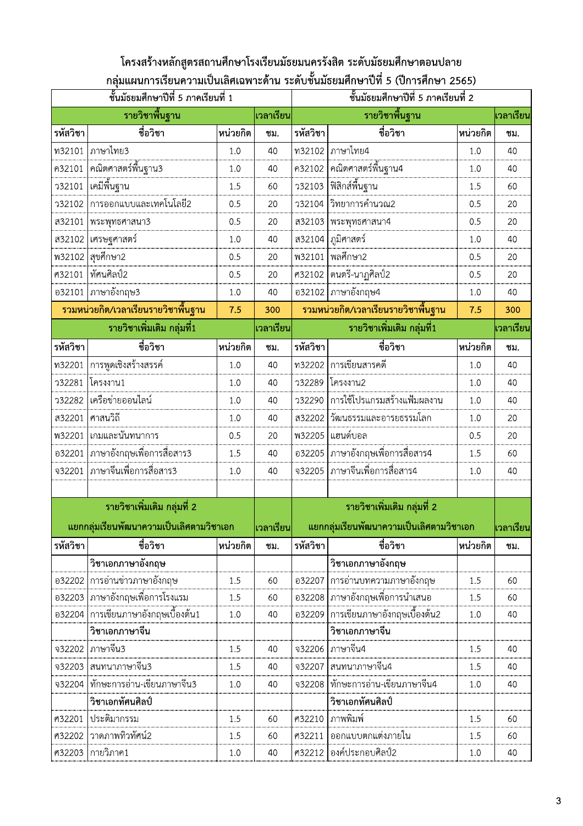|               | ชั้นมัธยมศึกษาปีที่ 5 ภาคเรียนที่ 1      |          |                           |               | ชั้นมัธยมศึกษาปีที่ 5 ภาคเรียนที่ 2      |           |                          |
|---------------|------------------------------------------|----------|---------------------------|---------------|------------------------------------------|-----------|--------------------------|
|               | รายวิชาพื้นฐาน                           |          | เวลาเรียน                 |               | รายวิชาพื้นฐาน                           |           | ่ <mark>เวลาเรียน</mark> |
| รหัสวิชา      | ชื่อวิชา                                 | หน่วยกิต | ชม.                       | รหัสวิชา      | ชื่อวิชา                                 | พน่วยกิต  | ชม.                      |
| ท32101        | ภาษาไทย3                                 | 1.0      | 40                        | ท32102        | ภาษาไทย4                                 | 1.0       | 40                       |
| ค32101        | คณิตศาสตร์พื้นฐาน3                       | 1.0      | 40                        | ค32102        | คณิตศาสตร์พื้นฐาน4                       | 1.0       | 40                       |
| <b>32101</b>  | ้<br>เคมีพื้นฐาน                         | 1.5      | 60                        |               | ว32103  พิสิกส์พื้นฐาน                   | 1.5       | 60                       |
|               | ว32102  การออกแบบและเทคโนโลยี2           | 0.5      | 20                        | <b>332104</b> | วิทยาการคำนวณ2                           | 0.5       | 20                       |
| ส32101        | พระพุทธศาสนา3                            | 0.5      | 20                        |               | ส32103  พระพุทธศาสนา4                    | 0.5       | 20                       |
|               | ส32102  เศรษฐศาสตร์                      | 1.0      | 40                        | ส32104        | ภูมิศาสตร์                               | 1.0       | 40                       |
| <b>W32102</b> | ่ สุขศึกษา2                              | 0.5      | 20                        | <b>W32101</b> | พลศึกษา2                                 | 0.5       | 20                       |
| ศ32101        | ทัศนศิลป์2                               | 0.5      | 20                        | ศ32102        | ดนตรี-นาฏศิลป์2                          | 0.5       | 20                       |
|               | อ32101   ภาษาอังกฤษ3                     | 1.0      | 40                        |               | อ32102 ภาษาอังกฤษ4                       | 1.0       | 40                       |
|               | รวมหน่วยกิต/เวลาเรียนรายวิชาพื้นฐาน      | 7.5      | 300                       |               | รวมหน่วยกิต/เวลาเรียนรายวิชาพื้นฐาน      | 7.5       | 300                      |
|               | รายวิชาเพิ่มเติม กลุ่มที่1               |          | เวลาเรียน                 |               | รายวิชาเพิ่มเติม กลุ่มที่1               |           | ี่เวลาเรียน              |
| รหัสวิชา      | ชื่อวิชา                                 | หน่วยกิต | ชม.                       | รหัสวิชา      | ชื่อวิชา                                 | ่หน่วยกิต | ชม.                      |
| ท32201        | การพูดเชิงสร้างสรรค์                     | 1.0      | 40                        | ท32202        | การเขียนสารคดี                           | 1.0       | 40                       |
| 132281        | โครงงาน1                                 | 1.0      | 40                        | 732289        | โครงงาน2                                 | 1.0       | 40                       |
| ว32282        | เครือข่ายออนไลน์                         | 1.0      | 40                        | <b>332290</b> | การใช้โปรแกรมสร้างแฟ้มผลงาน              | 1.0       | 40                       |
| ส32201        | ศาสนวิถี                                 | 1.0      | 40                        | ส32202        | วัฒนธรรมและอารยธรรมโลก                   | 1.0       | 20                       |
|               | พ32201  เกมและนันทนาการ                  | 0.5      | 20                        | พ32205        | แฮนด์บอล                                 | 0.5       | 20                       |
|               | ้อ32201   ภาษาอังกฤษเพื่อการสื่อสาร3     | 1.5      | 40                        |               | อ32205 ภาษาอังกฤษเพื่อการสื่อสาร4        | 1.5       | 60                       |
|               | จ32201   ภาษาจีนเพื่อการสื่อสาร3         | 1.0      | 40                        |               | จ32205   ภาษาจีนเพื่อการสื่อสาร4         | 1.0       | 40                       |
|               |                                          |          |                           |               |                                          |           |                          |
|               | รายวิชาเพิ่มเติม กลุ่มที่ 2              |          |                           |               | รายวิชาเพิ่มเติม กลุ่มที่ 2              |           |                          |
|               | แยกกลุ่มเรียนพัฒนาความเป็นเลิศตามวิชาเอก |          | $\vert$ เวลาเรียน $\vert$ |               | แยกกลุ่มเรียนพัฒนาความเป็นเลิศตามวิชาเอก |           | เวลาเรียน                |
| รหัสวิชา      | ชื่อวิชา                                 | พน่วยกิต | ชม.                       | รหัสวิชา      | ชื่อวิชา                                 | พน่วยกิต  | ชม.                      |
|               | วิชาเอกภาษาอังกฤษ                        |          |                           |               | วิชาเอกภาษาอังกฤษ                        |           |                          |
| อ32202        | การอ่านข่าวภาษาอังกฤษ                    | 1.5      | 60                        | อ32207        | การอ่านบทความภาษาอังกฤษ                  | 1.5       | 60                       |
|               | อ32203   ภาษาอังกฤษเพื่อการโรงแรม        | 1.5      | 60                        |               | ้อ32208   ภาษาอังกฤษเพื่อการนำเสนอ       | 1.5       | 60                       |
| อ32204        | การเขียนภาษาอังกฤษเบื้องต้น1             | 1.0      | 40                        | อ32209        | การเขียนภาษาอังกฤษเบื้องต้น2             | 1.0       | 40                       |
|               | วิชาเอกภาษาจีน                           |          |                           |               | วิชาเอกภาษาจีน                           |           |                          |
| จ32202        | ่ ภาษาจีน3                               | 1.5      | 40                        | จ32206        | ภาษาจีน4                                 | 1.5       | 40                       |
| จ32203        | สนทนาภาษาจีน3                            | 1.5      | 40                        | จ32207        | สนทนาภาษาจีน4                            | 1.5       | 40                       |
| จ32204        | ทักษะการอ่าน-เขียนภาษาจีน3               | 1.0      | 40                        | จ32208        | ทักษะการอ่าน-เขียนภาษาจีน4               | 1.0       | 40                       |
|               | วิชาเอกทัศนศิลป์                         |          |                           |               | วิชาเอกทัศนศิลป์                         |           |                          |
| ศ32201        | ประติมากรรม                              | 1.5      | 60                        | ศ32210        | ภาพพิมพ์                                 | 1.5       | 60                       |
| ศ32202        | วาดภาพทิวทัศน์2                          | 1.5      | 60                        | ศ32211        | ออกแบบตกแต่งภายใน                        | 1.5       | 60                       |
| ศ32203        | กายวิภาค1                                | 1.0      | 40                        | ศ32212        | องค์ประกอบศิลป์2                         | 1.0       | 40                       |

## โครงสร้างหลักสูตรสถานศึกษาโรงเรียนมัธยมนครรังสิต ระดับมัธยมศึกษาตอนปลาย ึกลุ่มแผนการเรียนความเป็นเลิศเฉพาะด้าน ระดับชั้นมัธยมศึกษาปีที่ 5 (ปีการศึกษา 2565)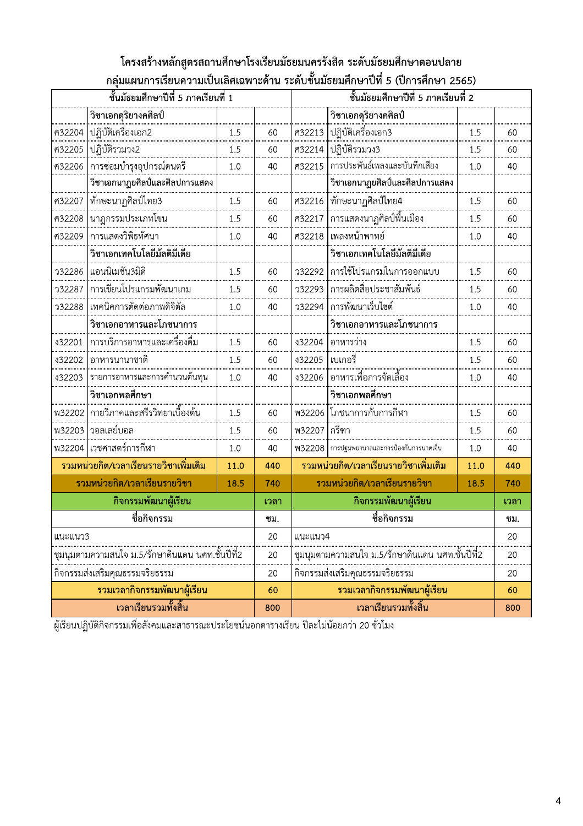|               | ์ ชั้นมัธยมศึกษาปีที่ 5 ภาคเรียนที่ 1            |      |      |         | ์ชั้นมัธยมศึกษาปีที่ 5 ภาคเรียนที่ 2                  |      |      |
|---------------|--------------------------------------------------|------|------|---------|-------------------------------------------------------|------|------|
|               | วิชาเอกดุริยางคศิลป์                             |      |      |         | วิชาเอกดุริยางคศิลป์                                  |      |      |
| ศ32204        | ปฏิบัติเครื่องเอก2                               | 1.5  | 60   | ศ32213  | ปฏิบัติเครื่องเอก3                                    | 1.5  | 60   |
| ศ32205        | ปฏิบัติรวมวง2                                    | 1.5  | 60   | ศ32214  | ปฏิบัติรวมวง3                                         | 1.5  | 60   |
| ศ32206        | การซ่อมบำรุงอุปกรณ์ดนตรี                         | 1.0  | 40   | ศ32215  | การประพันธ์เพลงและบันทึกเสียง                         | 1.0  | 40   |
|               | วิชาเอกนาฏยศิลป์และศิลปการแสดง                   |      |      |         | วิชาเอกนาฏยศิลป์และศิลปการแสดง                        |      |      |
| ศ32207        | ทักษะนาฏศิลป์ไทย3                                | 1.5  | 60   | ศ32216  | ทักษะนาฏศิลป์ไทย4                                     | 1.5  | 60   |
| <b>ศ32208</b> | นาฏกรรมประเภทโขน                                 | 1.5  | 60   | ศ32217  | การแสดงนาฏศิลป์พื้นเมือง                              | 1.5  | 60   |
| <b>ศ32209</b> | การแสดงวิพิธทัศนา                                | 1.0  | 40   | ศ32218  | เพลงหน้าพาทย์                                         | 1.0  | 40   |
|               | วิชาเอกเทคโนโลยีมัลติมีเดีย                      |      |      |         | วิชาเอกเทคโนโลยีมัลติมีเดีย                           |      |      |
| 732286        | แอนนิเมชั่น3มิติ                                 | 1.5  | 60   | 132292  | การใช้โปรแกรมในการออกแบบ                              | 1.5  | 60   |
| 732287        | การเขียนโปรแกรมพัฒนาเกม                          | 1.5  | 60   | 732293  | การผลิตสื่อประชาสัมพันธ์                              | 1.5  | 60   |
| 732288        | เทคนิคการตัดต่อภาพดิจิตัล                        | 1.0  | 40   | 132294  | การพัฒนาเว็บไซต์                                      | 1.0  | 40   |
|               | วิชาเอกอาหารและโภชนาการ                          |      |      |         | วิชาเอกอาหารและโภชนาการ                               |      |      |
| \$32201       | การบริการอาหารและเครื่องดื่ม                     | 1.5  | 60   | \$32204 | อาหารว่าง                                             | 1.5  | 60   |
| \$32202       | อาหารนานาชาติ                                    | 1.5  | 60   | \$32205 | เบเกอรี่                                              | 1.5  | 60   |
| \$32203       | รายการอาหารและการคำนวนต้นทุน                     | 1.0  | 40   | \$32206 | อาหารเพื่อการจัดเลื้อง                                | 1.0  | 40   |
|               | วิชาเอกพลศึกษา                                   |      |      |         | วิชาเอกพลศึกษา                                        |      |      |
| <b>W32202</b> |                                                  | 1.5  | 60   | พ32206  | โภชนาการกับการกีฬา                                    | 1.5  | 60   |
| <b>W32203</b> | วอลเลย์บอล                                       | 1.5  | 60   | พ32207  | ่กรีฑา                                                | 1.5  | 60   |
| <b>W32204</b> | เวชศาสตร์การกีฬา                                 | 1.0  | 40   |         | $\texttt{W32208}$ การปฐมพยาบาลและการป้องกันการบาดเจ็บ | 1.0  | 40   |
|               | รวมหน่วยกิต/เวลาเรียนรายวิชาเพิ่มเติม            | 11.0 | 440  |         | รวมหน่วยกิต/เวลาเรียนรายวิชาเพิ่มเติม                 | 11.0 | 440  |
|               | รวมหน่วยกิต/เวลาเรียนรายวิชา                     | 18.5 | 740  |         | รวมหน่วยกิต/เวลาเรียนรายวิชา                          | 18.5 | 740  |
|               | กิจกรรมพัฒนาผู้เรียน                             |      | เวลา |         | กิจกรรมพัฒนาผู้เรียน                                  |      | เวลา |
|               | ชื่อกิจกรรม                                      |      | ชม.  |         | ชื่อกิจกรรม                                           |      | ชม.  |
| แนะแนว3       |                                                  |      | 20   | แนะแนว4 |                                                       |      | 20   |
|               | ชุมนุมตามความสนใจ ม.5/รักษาดินแดน นศท.ชั้นปีที่2 |      | 20   |         | ชุมนุมตามความสนใจ ม.5/รักษาดินแดน นศท.ชั้นปีที่2      |      | 20   |
|               | กิจกรรมส่งเสริมคุณธรรมจริยธรรม                   |      | 20   |         | กิจกรรมส่งเสริมคุณธรรมจริยธรรม                        |      | 20   |
|               | <mark>รวมเวลากิจกรรมพัฒนาผู้เรียน</mark>         |      | 60   |         | รวมเวลากิจกรรมพัฒนาผู้เรียน                           |      | 60   |
|               | เวลาเรียนรวมทั้งสิ้น                             |      | 800  |         | เวลาเรียนรวมทั้งสิ้น                                  |      | 800  |

### โครงสร้างหลักสูตรสถานศึกษาโรงเรียนมัธยมนครรังสิต ระดับมัธยมศึกษาตอนปลาย ิกลุ่มแผนการเรียนความเป็นเลิศเฉพาะด้าน ระดับชั้นมัธยมศึกษาปีที่ 5 (ปีการศึกษา 2565)

์ ผู้เรียนปฏิบัติกิจกรรมเพื่อสังคมและสาธารณะประโยชน์นอกตารางเรียน ปีละไม่น้อยกว่า 20 ชั่วโมง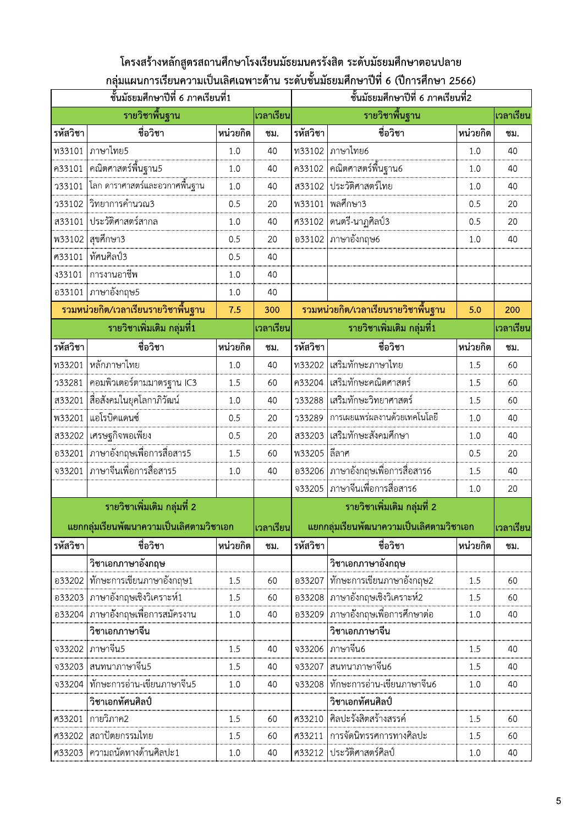## โครงสร้างหลักสูตรสถานศึกษาโรงเรียนมัธยมนครรังสิต ระดับมัธยมศึกษาตอนปลาย ึกลุ่มแผนการเรียนความเป็นเลิศเฉพาะด้าน ระดับชั้นมัธยมศึกษาปีที่ 6 (ปีการศึกษา 2566)

|               | ์ชั้นมัธยมศึกษาปีที่ 6 ภาคเรียนที่1      |          |           |               | ์ชั้นมัธยมศึกษาปีที่ 6 ภาคเรียนที่2      |          |           |
|---------------|------------------------------------------|----------|-----------|---------------|------------------------------------------|----------|-----------|
|               | รายวิชาพื้นฐาน                           |          | เวลาเรียน |               | รายวิชาพื้นฐาน                           |          | เวลาเรียน |
| รหัสวิชา      | ชื่อวิชา                                 | หน่วยกิต | ชม.       | รหัสวิชา      | ชื่อวิชา                                 | หน่วยกิต | ชม.       |
| พ33101        | ภาษาไทย5                                 | 1.0      | 40        | พ33102        | ภาษาไทย6                                 | 1.0      | 40        |
| ค33101        |                                          | 1.0      | 40        | ค33102        | คณิตศาสตร์พื้นฐาน6                       | 1.0      | 40        |
| 133101        | โลก ดาราศาสตร์และอวกาศพื้นฐาน            | 1.0      | 40        | ส33102        | ประวัติศาสตร์ไทย                         | 1.0      | 40        |
| 733102        | วิทยาการคำนวณ3                           | 0.5      | 20        | <b>W33101</b> | พลศึกษา3                                 | 0.5      | 20        |
| ส33101        | ประวัติศาสตร์สากล                        | 1.0      | 40        | ศ33102        | ดนตรี-นาฏศิลป์3                          | 0.5      | 20        |
|               | พ33102 สุขศึกษา3                         | 0.5      | 20        |               | อ33102 ภาษาอังกฤษ6                       | 1.0      | 40        |
| ศ33101        | ทัศนศิลป์3                               | 0.5      | 40        |               |                                          |          |           |
| \$33101       | การงานอาชีพ                              | 1.0      | 40        |               |                                          |          |           |
|               | อ33101   ภาษาอังกฤษ5                     | 1.0      | 40        |               |                                          |          |           |
|               | ้รวมหน่วยกิต/เวลาเรียนรายวิชาพื้นฐาน     | 7.5      | 300       |               | ้รวมหน่วยกิต/เวลาเรียนรายวิชาพื้นฐาน     | 5.0      | 200       |
|               | รายวิชาเพิ่มเติม กลุ่มที่1               |          | เวลาเรียน |               | รายวิชาเพิ่มเติม กลุ่มที่1               |          | เวลาเรียน |
| รหัสวิชา      | ชื่อวิชา                                 | หน่วยกิต | ชม.       | รหัสวิชา      | ชื่อวิชา                                 | หน่วยกิต | ชม.       |
| พ33201        | หลักภาษาไทย                              | 1.0      | 40        |               | ท33202 เสริมทักษะภาษาไทย                 | 1.5      | 60        |
| 133281        | คอมพิวเตอร์ตามมาตรฐาน IC3                | 1.5      | 60        | ค33204        | เสริมทักษะคณิตศาสตร์                     | 1.5      | 60        |
| ส33201        | สื่อสังคมในยุคโลกาภิวัฒน์                | 1.0      | 40        | 733288        | เสริมทักษะวิทยาศาสตร์                    | 1.5      | 60        |
| <b>W33201</b> | แอโรบิคแดนซ์                             | 0.5      | 20        | 733289        | การเผยแพร่ผลงานด้วยเทคโนโลยี             | 1.0      | 40        |
| ส33202        | เศรษฐกิจพอเพียง                          | 0.5      | 20        |               | ส33203 เสริมทักษะสังคมศึกษา              | 1.0      | 40        |
|               | ื่อ33201   ภาษาอังกฤษเพื่อการสื่อสาร5    | 1.5      | 60        | <b>W33205</b> | ลีลาศ                                    | 0.5      | 20        |
| จ33201        | ภาษาจีนเพื่อการสื่อสาร5                  | 1.0      | 40        |               | อ33206   ภาษาอังกฤษเพื่อการสื่อสาร6      | 1.5      | 40        |
|               |                                          |          |           | จ33205        | ภาษาจีนเพื่อการสื่อสาร6                  | 1.0      | 20        |
|               | รายวิชาเพิ่มเติม กลุ่มที่ 2              |          |           |               | รายวิชาเพิ่มเติม กลุ่มที่ 2              |          |           |
|               | แยกกลุ่มเรียนพัฒนาความเป็นเลิศตามวิชาเอก |          | เวลาเรียน |               | แยกกลุ่มเรียนพัฒนาความเป็นเลิศตามวิชาเอก |          | เวลาเรียน |
| รหัสวิชา      | ชื่อวิชา                                 | หน่วยกิต | ชม.       | รหัสวิชา      | ชื่อวิชา                                 | หน่วยกิต | ชม.       |
|               | วิชาเอกภาษาอังกฤษ                        |          |           |               | วิชาเอกภาษาอังกฤษ                        |          |           |
| อ33202        | ทักษะการเขียนภาษาอังกฤษ1                 | 1.5      | 60        | อ33207        | ทักษะการเขียนภาษาอังกฤษ2                 | 1.5      | 60        |
| อ33203        | ภาษาอังกฤษเชิงวิเคราะห์1                 | 1.5      | 60        | อ33208        | ภาษาอังกฤษเชิงวิเคราะห์2                 | 1.5      | 60        |
| อ33204        | ภาษาอังกฤษเพื่อการสมัครงาน               | 1.0      | 40        | อ33209        | ภาษาอังกฤษเพื่อการศึกษาต่อ               | 1.0      | 40        |
|               | วิชาเอกภาษาจีน                           |          |           |               | วิชาเอกภาษาจีน                           |          |           |
| จ33202        | ภาษาจีน5                                 | 1.5      | 40        | จ33206        | ภาษาจีน6                                 | 1.5      | 40        |
| จ33203        | สนทนาภาษาจีน5                            | 1.5      | 40        | จ33207        | สนทนาภาษาจีน6                            | 1.5      | 40        |
| จ33204        | ทักษะการอ่าน-เขียนภาษาจีน5               | 1.0      | 40        | จ33208        | ทักษะการอ่าน-เขียนภาษาจีน6               | 1.0      | 40        |
|               | วิชาเอกทัศนศิลป์                         |          |           |               | วิชาเอกทัศนศิลป์                         |          |           |
| ศ33201        | กายวิภาค2                                | 1.5      | 60        | ศ33210        | ศิลปะรังสิตสร้างสรรค์                    | 1.5      | 60        |
| <b>ศ33202</b> | สถาปัตยกรรมไทย                           | 1.5      | 60        | <b>ศ33211</b> | การจัดนิทรรศการทางศิลปะ                  | 1.5      | 60        |
| <b>ศ33203</b> | ่ ความถนัดทางด้านศิลปะ1                  | 1.0      | 40        | <b>ศ33212</b> | ประวัติศาสตร์ศิลป์                       | 1.0      | 40        |